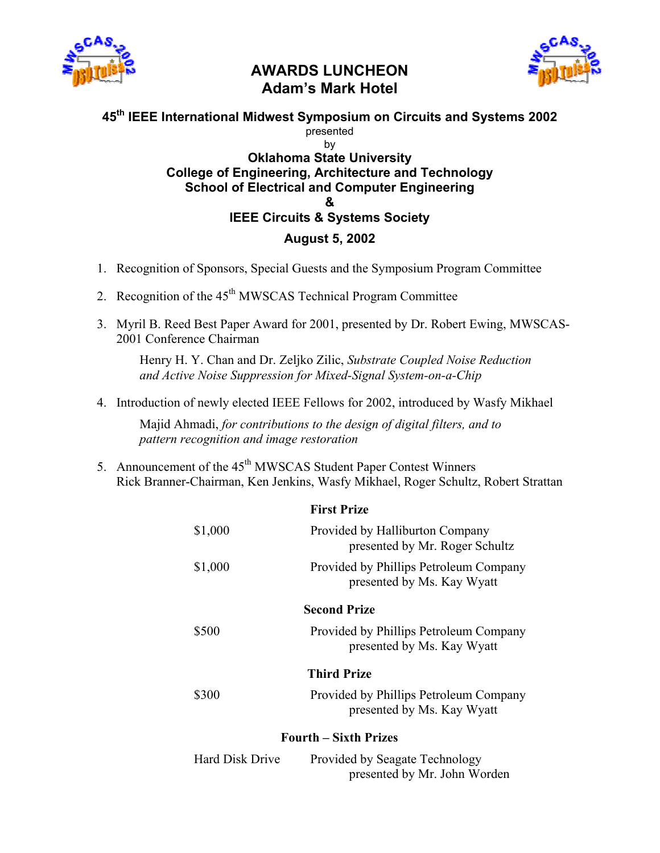

## **AWARDS LUNCHEON Adam's Mark Hotel**



## **45th IEEE International Midwest Symposium on Circuits and Systems 2002**  presented by **Oklahoma State University College of Engineering, Architecture and Technology School of Electrical and Computer Engineering & IEEE Circuits & Systems Society August 5, 2002**

- 1. Recognition of Sponsors, Special Guests and the Symposium Program Committee
- 2. Recognition of the  $45<sup>th</sup> MWSCAS$  Technical Program Committee
- 3. Myril B. Reed Best Paper Award for 2001, presented by Dr. Robert Ewing, MWSCAS-2001 Conference Chairman

Henry H. Y. Chan and Dr. Zeljko Zilic, *Substrate Coupled Noise Reduction and Active Noise Suppression for Mixed-Signal System-on-a-Chip*

4. Introduction of newly elected IEEE Fellows for 2002, introduced by Wasfy Mikhael

Majid Ahmadi, *for contributions to the design of digital filters, and to pattern recognition and image restoration*

5. Announcement of the 45<sup>th</sup> MWSCAS Student Paper Contest Winners Rick Branner-Chairman, Ken Jenkins, Wasfy Mikhael, Roger Schultz, Robert Strattan

## **First Prize**

| \$1,000                      | Provided by Halliburton Company<br>presented by Mr. Roger Schultz    |
|------------------------------|----------------------------------------------------------------------|
| \$1,000                      | Provided by Phillips Petroleum Company<br>presented by Ms. Kay Wyatt |
| <b>Second Prize</b>          |                                                                      |
| \$500                        | Provided by Phillips Petroleum Company<br>presented by Ms. Kay Wyatt |
| <b>Third Prize</b>           |                                                                      |
| \$300                        | Provided by Phillips Petroleum Company<br>presented by Ms. Kay Wyatt |
| <b>Fourth – Sixth Prizes</b> |                                                                      |
| Hard Disk Drive              | Provided by Seagate Technology<br>presented by Mr. John Worden       |